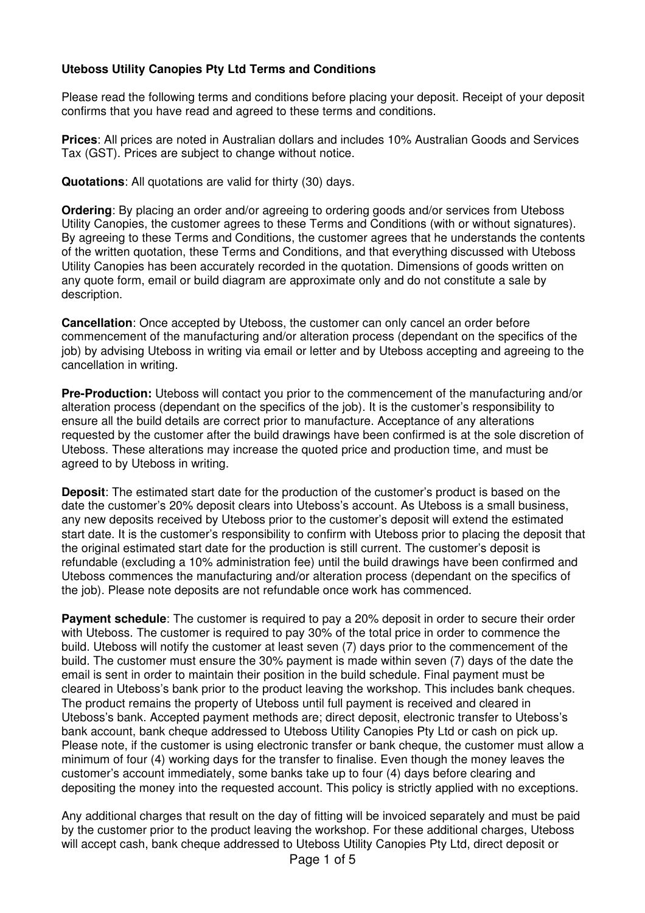## **Uteboss Utility Canopies Pty Ltd Terms and Conditions**

Please read the following terms and conditions before placing your deposit. Receipt of your deposit confirms that you have read and agreed to these terms and conditions.

**Prices**: All prices are noted in Australian dollars and includes 10% Australian Goods and Services Tax (GST). Prices are subject to change without notice.

**Quotations**: All quotations are valid for thirty (30) days.

**Ordering**: By placing an order and/or agreeing to ordering goods and/or services from Uteboss Utility Canopies, the customer agrees to these Terms and Conditions (with or without signatures). By agreeing to these Terms and Conditions, the customer agrees that he understands the contents of the written quotation, these Terms and Conditions, and that everything discussed with Uteboss Utility Canopies has been accurately recorded in the quotation. Dimensions of goods written on any quote form, email or build diagram are approximate only and do not constitute a sale by description.

**Cancellation**: Once accepted by Uteboss, the customer can only cancel an order before commencement of the manufacturing and/or alteration process (dependant on the specifics of the job) by advising Uteboss in writing via email or letter and by Uteboss accepting and agreeing to the cancellation in writing.

**Pre-Production:** Uteboss will contact you prior to the commencement of the manufacturing and/or alteration process (dependant on the specifics of the job). It is the customer's responsibility to ensure all the build details are correct prior to manufacture. Acceptance of any alterations requested by the customer after the build drawings have been confirmed is at the sole discretion of Uteboss. These alterations may increase the quoted price and production time, and must be agreed to by Uteboss in writing.

**Deposit**: The estimated start date for the production of the customer's product is based on the date the customer's 20% deposit clears into Uteboss's account. As Uteboss is a small business, any new deposits received by Uteboss prior to the customer's deposit will extend the estimated start date. It is the customer's responsibility to confirm with Uteboss prior to placing the deposit that the original estimated start date for the production is still current. The customer's deposit is refundable (excluding a 10% administration fee) until the build drawings have been confirmed and Uteboss commences the manufacturing and/or alteration process (dependant on the specifics of the job). Please note deposits are not refundable once work has commenced.

**Payment schedule**: The customer is required to pay a 20% deposit in order to secure their order with Uteboss. The customer is required to pay 30% of the total price in order to commence the build. Uteboss will notify the customer at least seven (7) days prior to the commencement of the build. The customer must ensure the 30% payment is made within seven (7) days of the date the email is sent in order to maintain their position in the build schedule. Final payment must be cleared in Uteboss's bank prior to the product leaving the workshop. This includes bank cheques. The product remains the property of Uteboss until full payment is received and cleared in Uteboss's bank. Accepted payment methods are; direct deposit, electronic transfer to Uteboss's bank account, bank cheque addressed to Uteboss Utility Canopies Pty Ltd or cash on pick up. Please note, if the customer is using electronic transfer or bank cheque, the customer must allow a minimum of four (4) working days for the transfer to finalise. Even though the money leaves the customer's account immediately, some banks take up to four (4) days before clearing and depositing the money into the requested account. This policy is strictly applied with no exceptions.

Any additional charges that result on the day of fitting will be invoiced separately and must be paid by the customer prior to the product leaving the workshop. For these additional charges, Uteboss will accept cash, bank cheque addressed to Uteboss Utility Canopies Pty Ltd, direct deposit or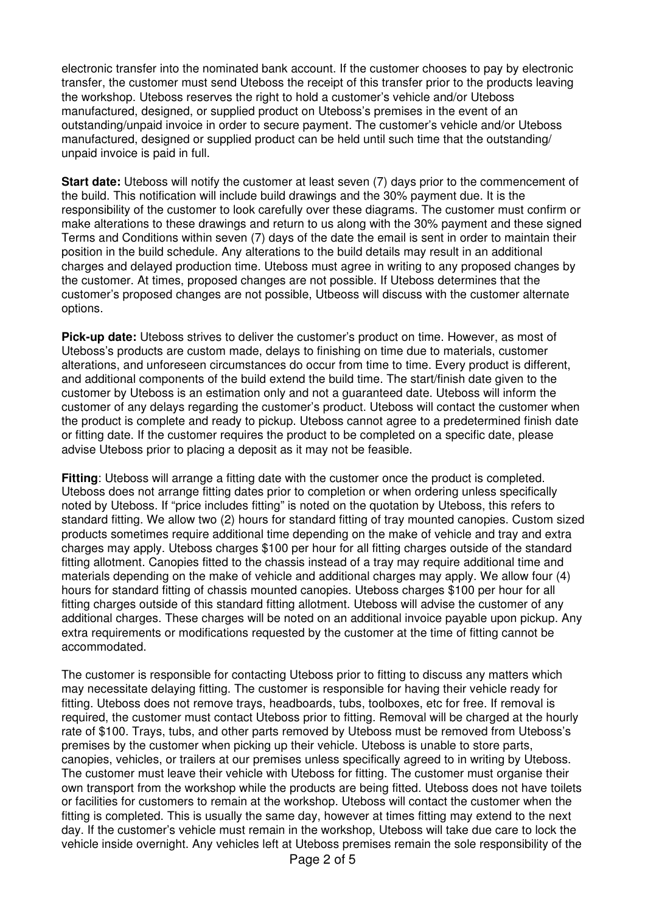electronic transfer into the nominated bank account. If the customer chooses to pay by electronic transfer, the customer must send Uteboss the receipt of this transfer prior to the products leaving the workshop. Uteboss reserves the right to hold a customer's vehicle and/or Uteboss manufactured, designed, or supplied product on Uteboss's premises in the event of an outstanding/unpaid invoice in order to secure payment. The customer's vehicle and/or Uteboss manufactured, designed or supplied product can be held until such time that the outstanding/ unpaid invoice is paid in full.

**Start date:** Uteboss will notify the customer at least seven (7) days prior to the commencement of the build. This notification will include build drawings and the 30% payment due. It is the responsibility of the customer to look carefully over these diagrams. The customer must confirm or make alterations to these drawings and return to us along with the 30% payment and these signed Terms and Conditions within seven (7) days of the date the email is sent in order to maintain their position in the build schedule. Any alterations to the build details may result in an additional charges and delayed production time. Uteboss must agree in writing to any proposed changes by the customer. At times, proposed changes are not possible. If Uteboss determines that the customer's proposed changes are not possible, Utbeoss will discuss with the customer alternate options.

**Pick-up date:** Uteboss strives to deliver the customer's product on time. However, as most of Uteboss's products are custom made, delays to finishing on time due to materials, customer alterations, and unforeseen circumstances do occur from time to time. Every product is different, and additional components of the build extend the build time. The start/finish date given to the customer by Uteboss is an estimation only and not a guaranteed date. Uteboss will inform the customer of any delays regarding the customer's product. Uteboss will contact the customer when the product is complete and ready to pickup. Uteboss cannot agree to a predetermined finish date or fitting date. If the customer requires the product to be completed on a specific date, please advise Uteboss prior to placing a deposit as it may not be feasible.

**Fitting**: Uteboss will arrange a fitting date with the customer once the product is completed. Uteboss does not arrange fitting dates prior to completion or when ordering unless specifically noted by Uteboss. If "price includes fitting" is noted on the quotation by Uteboss, this refers to standard fitting. We allow two (2) hours for standard fitting of tray mounted canopies. Custom sized products sometimes require additional time depending on the make of vehicle and tray and extra charges may apply. Uteboss charges \$100 per hour for all fitting charges outside of the standard fitting allotment. Canopies fitted to the chassis instead of a tray may require additional time and materials depending on the make of vehicle and additional charges may apply. We allow four (4) hours for standard fitting of chassis mounted canopies. Uteboss charges \$100 per hour for all fitting charges outside of this standard fitting allotment. Uteboss will advise the customer of any additional charges. These charges will be noted on an additional invoice payable upon pickup. Any extra requirements or modifications requested by the customer at the time of fitting cannot be accommodated.

The customer is responsible for contacting Uteboss prior to fitting to discuss any matters which may necessitate delaying fitting. The customer is responsible for having their vehicle ready for fitting. Uteboss does not remove trays, headboards, tubs, toolboxes, etc for free. If removal is required, the customer must contact Uteboss prior to fitting. Removal will be charged at the hourly rate of \$100. Trays, tubs, and other parts removed by Uteboss must be removed from Uteboss's premises by the customer when picking up their vehicle. Uteboss is unable to store parts, canopies, vehicles, or trailers at our premises unless specifically agreed to in writing by Uteboss. The customer must leave their vehicle with Uteboss for fitting. The customer must organise their own transport from the workshop while the products are being fitted. Uteboss does not have toilets or facilities for customers to remain at the workshop. Uteboss will contact the customer when the fitting is completed. This is usually the same day, however at times fitting may extend to the next day. If the customer's vehicle must remain in the workshop, Uteboss will take due care to lock the vehicle inside overnight. Any vehicles left at Uteboss premises remain the sole responsibility of the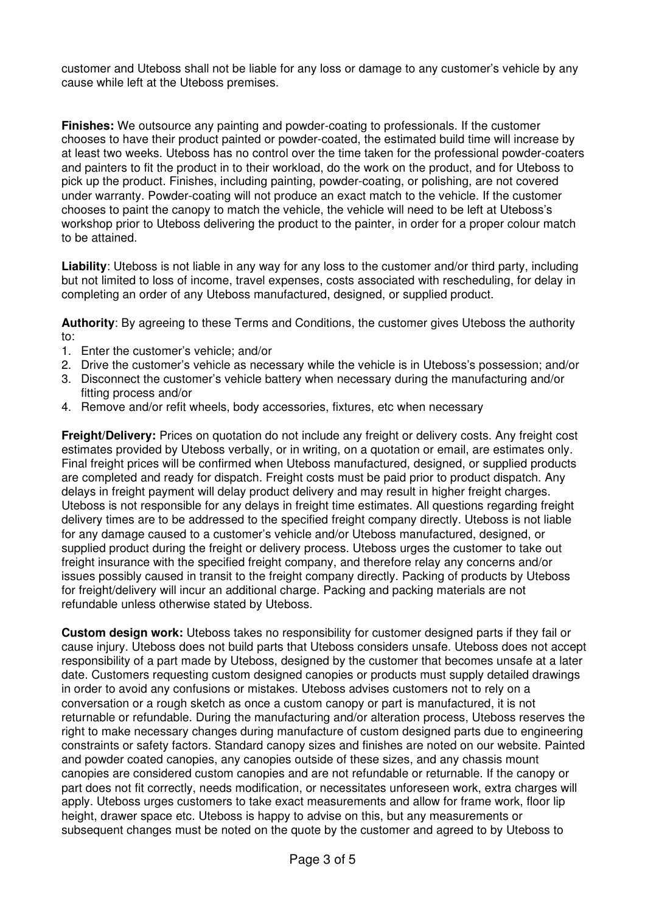customer and Uteboss shall not be liable for any loss or damage to any customer's vehicle by any cause while left at the Uteboss premises.

**Finishes:** We outsource any painting and powder-coating to professionals. If the customer chooses to have their product painted or powder-coated, the estimated build time will increase by at least two weeks. Uteboss has no control over the time taken for the professional powder-coaters and painters to fit the product in to their workload, do the work on the product, and for Uteboss to pick up the product. Finishes, including painting, powder-coating, or polishing, are not covered under warranty. Powder-coating will not produce an exact match to the vehicle. If the customer chooses to paint the canopy to match the vehicle, the vehicle will need to be left at Uteboss's workshop prior to Uteboss delivering the product to the painter, in order for a proper colour match to be attained.

**Liability**: Uteboss is not liable in any way for any loss to the customer and/or third party, including but not limited to loss of income, travel expenses, costs associated with rescheduling, for delay in completing an order of any Uteboss manufactured, designed, or supplied product.

**Authority**: By agreeing to these Terms and Conditions, the customer gives Uteboss the authority to:

- 1. Enter the customer's vehicle; and/or
- 2. Drive the customer's vehicle as necessary while the vehicle is in Uteboss's possession; and/or
- 3. Disconnect the customer's vehicle battery when necessary during the manufacturing and/or fitting process and/or
- 4. Remove and/or refit wheels, body accessories, fixtures, etc when necessary

**Freight/Delivery:** Prices on quotation do not include any freight or delivery costs. Any freight cost estimates provided by Uteboss verbally, or in writing, on a quotation or email, are estimates only. Final freight prices will be confirmed when Uteboss manufactured, designed, or supplied products are completed and ready for dispatch. Freight costs must be paid prior to product dispatch. Any delays in freight payment will delay product delivery and may result in higher freight charges. Uteboss is not responsible for any delays in freight time estimates. All questions regarding freight delivery times are to be addressed to the specified freight company directly. Uteboss is not liable for any damage caused to a customer's vehicle and/or Uteboss manufactured, designed, or supplied product during the freight or delivery process. Uteboss urges the customer to take out freight insurance with the specified freight company, and therefore relay any concerns and/or issues possibly caused in transit to the freight company directly. Packing of products by Uteboss for freight/delivery will incur an additional charge. Packing and packing materials are not refundable unless otherwise stated by Uteboss.

**Custom design work:** Uteboss takes no responsibility for customer designed parts if they fail or cause injury. Uteboss does not build parts that Uteboss considers unsafe. Uteboss does not accept responsibility of a part made by Uteboss, designed by the customer that becomes unsafe at a later date. Customers requesting custom designed canopies or products must supply detailed drawings in order to avoid any confusions or mistakes. Uteboss advises customers not to rely on a conversation or a rough sketch as once a custom canopy or part is manufactured, it is not returnable or refundable. During the manufacturing and/or alteration process, Uteboss reserves the right to make necessary changes during manufacture of custom designed parts due to engineering constraints or safety factors. Standard canopy sizes and finishes are noted on our website. Painted and powder coated canopies, any canopies outside of these sizes, and any chassis mount canopies are considered custom canopies and are not refundable or returnable. If the canopy or part does not fit correctly, needs modification, or necessitates unforeseen work, extra charges will apply. Uteboss urges customers to take exact measurements and allow for frame work, floor lip height, drawer space etc. Uteboss is happy to advise on this, but any measurements or subsequent changes must be noted on the quote by the customer and agreed to by Uteboss to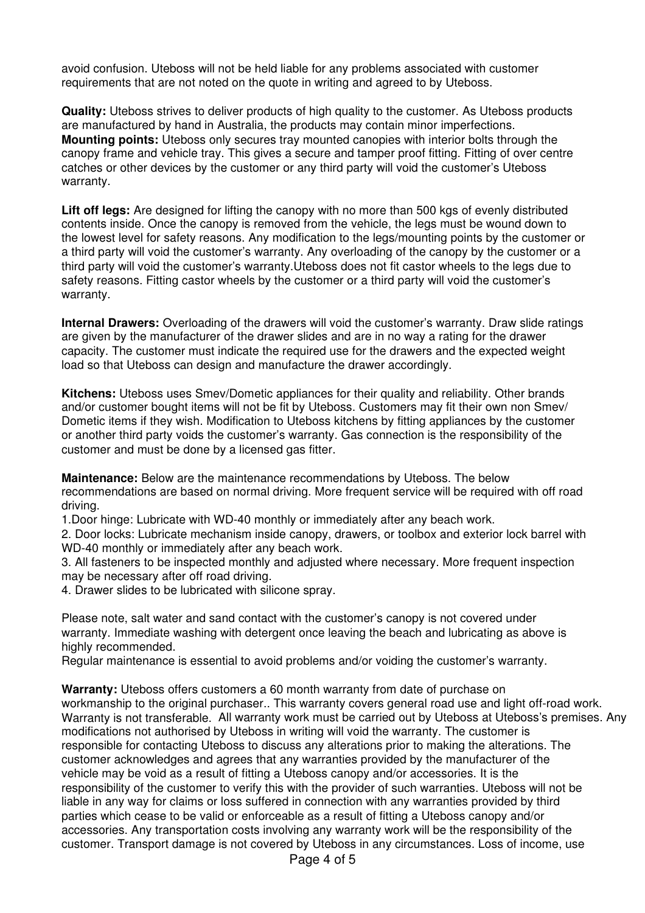avoid confusion. Uteboss will not be held liable for any problems associated with customer requirements that are not noted on the quote in writing and agreed to by Uteboss.

**Quality:** Uteboss strives to deliver products of high quality to the customer. As Uteboss products are manufactured by hand in Australia, the products may contain minor imperfections. **Mounting points:** Uteboss only secures tray mounted canopies with interior bolts through the canopy frame and vehicle tray. This gives a secure and tamper proof fitting. Fitting of over centre catches or other devices by the customer or any third party will void the customer's Uteboss warranty.

**Lift off legs:** Are designed for lifting the canopy with no more than 500 kgs of evenly distributed contents inside. Once the canopy is removed from the vehicle, the legs must be wound down to the lowest level for safety reasons. Any modification to the legs/mounting points by the customer or a third party will void the customer's warranty. Any overloading of the canopy by the customer or a third party will void the customer's warranty.Uteboss does not fit castor wheels to the legs due to safety reasons. Fitting castor wheels by the customer or a third party will void the customer's warranty.

**Internal Drawers:** Overloading of the drawers will void the customer's warranty. Draw slide ratings are given by the manufacturer of the drawer slides and are in no way a rating for the drawer capacity. The customer must indicate the required use for the drawers and the expected weight load so that Uteboss can design and manufacture the drawer accordingly.

**Kitchens:** Uteboss uses Smev/Dometic appliances for their quality and reliability. Other brands and/or customer bought items will not be fit by Uteboss. Customers may fit their own non Smev/ Dometic items if they wish. Modification to Uteboss kitchens by fitting appliances by the customer or another third party voids the customer's warranty. Gas connection is the responsibility of the customer and must be done by a licensed gas fitter.

**Maintenance:** Below are the maintenance recommendations by Uteboss. The below recommendations are based on normal driving. More frequent service will be required with off road driving.

1.Door hinge: Lubricate with WD40 monthly or immediately after any beach work.

2. Door locks: Lubricate mechanism inside canopy, drawers, or toolbox and exterior lock barrel with WD-40 monthly or immediately after any beach work.

3. All fasteners to be inspected monthly and adjusted where necessary. More frequent inspection may be necessary after off road driving.

4. Drawer slides to be lubricated with silicone spray.

Please note, salt water and sand contact with the customer's canopy is not covered under warranty. Immediate washing with detergent once leaving the beach and lubricating as above is highly recommended.

Regular maintenance is essential to avoid problems and/or voiding the customer's warranty.

**Warranty:** Uteboss offers customers a 60 month warranty from date of purchase on workmanship to the original purchaser.. This warranty covers general road use and light off-road work. Warranty is not transferable. All warranty work must be carried out by Uteboss at Uteboss's premises. Any modifications not authorised by Uteboss in writing will void the warranty. The customer is responsible for contacting Uteboss to discuss any alterations prior to making the alterations. The customer acknowledges and agrees that any warranties provided by the manufacturer of the vehicle may be void as a result of fitting a Uteboss canopy and/or accessories. It is the responsibility of the customer to verify this with the provider of such warranties. Uteboss will not be liable in any way for claims or loss suffered in connection with any warranties provided by third parties which cease to be valid or enforceable as a result of fitting a Uteboss canopy and/or accessories. Any transportation costs involving any warranty work will be the responsibility of the customer. Transport damage is not covered by Uteboss in any circumstances. Loss of income, use